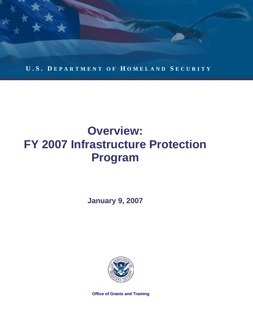

# **Overview: FY 2007 Infrastructure Protection Program**

**January 9, 2007** 



**Office of Grants and Training**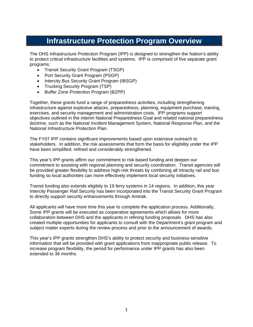## **Infrastructure Protection Program Overview**

The DHS Infrastructure Protection Program (IPP) is designed to strengthen the Nation's ability to protect critical infrastructure facilities and systems. IPP is comprised of five separate grant programs:

- Transit Security Grant Program (TSGP)
- Port Security Grant Program (PSGP)
- Intercity Bus Security Grant Program (IBSGP)
- Trucking Security Program (TSP)
- Buffer Zone Protection Program (BZPP)

Together, these grants fund a range of preparedness activities, including strengthening infrastructure against explosive attacks, preparedness, planning, equipment purchase, training, exercises, and security management and administration costs. IPP programs support objectives outlined in the interim National Preparedness Goal and related national preparedness doctrine, such as the National Incident Management System, National Response Plan, and the National Infrastructure Protection Plan.

The FY07 IPP contains significant improvements based upon extensive outreach to stakeholders. In addition, the risk assessments that form the basis for eligibility under the IPP have been simplified, refined and considerably strengthened.

This year's IPP grants affirm our commitment to risk-based funding and deepen our commitment to assisting with regional planning and security coordination. Transit agencies will be provided greater flexibility to address high-risk threats by combining all intracity rail and bus funding so local authorities can more effectively implement local security initiatives.

Transit funding also extends eligibity to 19 ferry systems in 14 regions. In addition, this year Intercity Passenger Rail Security has been incorporated into the Transit Security Grant Program to directly support security enhancements through Amtrak.

All applicants will have more time this year to complete the application process. Additionally, Some IPP grants will be executed as cooperative agreements which allows for more collaboration between DHS and the applicants in refining funding proposals. DHS has also created multiple opportunities for applicants to consult with the Department's grant program and subject matter experts during the review process and prior to the announcement of awards.

This year's IPP grants strengthen DHS's ability to protect security and business-sensitive information that will be provided with grant applications from inappropriate public release. To increase program flexibility, the period for performance under IPP grants has also been extended to 36 months.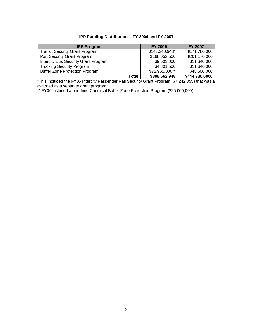#### **IPP Funding Distribution -- FY 2006 and FY 2007**

| <b>IPP Program</b>                          | <b>FY 2006</b> | <b>FY 2007</b> |
|---------------------------------------------|----------------|----------------|
| <b>Transit Security Grant Program</b>       | \$143,240,948* | \$171,780,000  |
| Port Security Grant Program                 | \$168,052,500  | \$201,170,000  |
| <b>Intercity Bus Security Grant Program</b> | \$9,503,000    | \$11,640,000   |
| <b>Trucking Security Program</b>            | \$4,801,500    | \$11,640,000   |
| <b>Buffer Zone Protection Program</b>       | \$72,965,000** | \$48,500,000   |
| Total                                       | \$398,562,948  | \$444,730,0000 |

\*This included the FY06 Intercity Passenger Rail Security Grant Program (\$7,242,855) that was a awarded as a separate grant program.

\*\* FY06 included a one-time Chemical Buffer Zone Protection Program (\$25,000,000).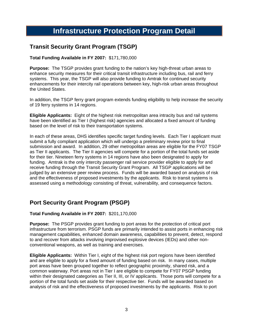## **Infrastructure Protection Program Detail**

## **Transit Security Grant Program (TSGP)**

#### **Total Funding Available in FY 2007:** \$171,780,000

**Purpose:** The TSGP provides grant funding to the nation's key high-threat urban areas to enhance security measures for their critical transit infrastructure including bus, rail and ferry systems. This year, the TSGP will also provide funding to Amtrak for continued security enhancements for their intercity rail operations between key, high-risk urban areas throughout the United States.

In addition, the TSGP ferry grant program extends funding eligibility to help increase the security of 19 ferry systems in 14 regions.

**Eligible Applicants:** Eight of the highest risk metropolitan area intracity bus and rail systems have been identified as Tier I (highest risk) agencies and allocated a fixed amount of funding based on the level of risk to their transportation systems.

In each of these areas, DHS identifies specific target funding levels. Each Tier I applicant must submit a fully compliant application which will undergo a preliminary review prior to final submission and award. In addition, 29 other metropolitan areas are eligible for the FY07 TSGP as Tier II applicants. The Tier II agencies will compete for a portion of the total funds set aside for their tier. Nineteen ferry systems in 14 regions have also been designated to apply for funding. Amtrak is the only intercity passenger rail service provider eligible to apply for and receive funding through the Transit Security Grant Program. All TSGP applications will be judged by an extensive peer review process. Funds will be awarded based on analysis of risk and the effectiveness of proposed investments by the applicants. Risk to transit systems is assessed using a methodology consisting of threat, vulnerability, and consequence factors.

## **Port Security Grant Program (PSGP)**

#### **Total Funding Available in FY 2007:** \$201,170,000

**Purpose:** The PSGP provides grant funding to port areas for the protection of critical port infrastructure from terrorism. PSGP funds are primarily intended to assist ports in enhancing risk management capabilities, enhanced domain awareness, capabilities to prevent, detect, respond to and recover from attacks involving improvised explosive devices (IEDs) and other nonconventional weapons, as well as training and exercises.

**Eligible Applicants:** Within Tier I, eight of the highest risk port regions have been identified and are eligible to apply for a fixed amount of funding based on risk. In many cases, multiple port areas have been grouped together to reflect geographic proximity, shared risk, and a common waterway. Port areas not in Tier I are eligible to compete for FY07 PSGP funding within their designated categories as Tier II, III, or IV applicants. Those ports will compete for a portion of the total funds set aside for their respective tier. Funds will be awarded based on analysis of risk and the effectiveness of proposed investments by the applicants. Risk to port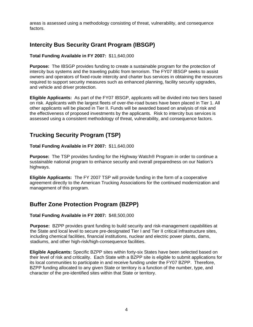areas is assessed using a methodology consisting of threat, vulnerability, and consequence factors.

## **Intercity Bus Security Grant Program (IBSGP)**

#### **Total Funding Available in FY 2007:** \$11,640,000

**Purpose:** The IBSGP provides funding to create a sustainable program for the protection of intercity bus systems and the traveling public from terrorism. The FY07 IBSGP seeks to assist owners and operators of fixed-route intercity and charter bus services in obtaining the resources required to support security measures such as enhanced planning, facility security upgrades, and vehicle and driver protection.

**Eligible Applicants:** As part of the FY07 IBSGP, applicants will be divided into two tiers based on risk. Applicants with the largest fleets of over-the-road buses have been placed in Tier 1. All other applicants will be placed in Tier II. Funds will be awarded based on analysis of risk and the effectiveness of proposed investments by the applicants. Risk to intercity bus services is assessed using a consistent methodology of threat, vulnerability, and consequence factors.

### **Trucking Security Program (TSP)**

#### **Total Funding Available in FY 2007:** \$11,640,000

**Purpose:** The TSP provides funding for the Highway Watch® Program in order to continue a sustainable national program to enhance security and overall preparedness on our Nation's highways.

**Eligible Applicants:** The FY 2007 TSP will provide funding in the form of a cooperative agreement directly to the American Trucking Associations for the continued modernization and management of this program.

### **Buffer Zone Protection Program (BZPP)**

#### **Total Funding Available in FY 2007:** \$48,500,000

**Purpose:** BZPP provides grant funding to build security and risk-management capabilities at the State and local level to secure pre-designated Tier I and Tier II critical infrastructure sites, including chemical facilities, financial institutions, nuclear and electric power plants, dams, stadiums, and other high-risk/high-consequence facilities.

**Eligible Applicants:** Specific BZPP sites within forty-six States have been selected based on their level of risk and criticality. Each State with a BZPP site is eligible to submit applications for its local communities to participate in and receive funding under the FY07 BZPP. Therefore, BZPP funding allocated to any given State or territory is a function of the number, type, and character of the pre-identified sites within that State or territory.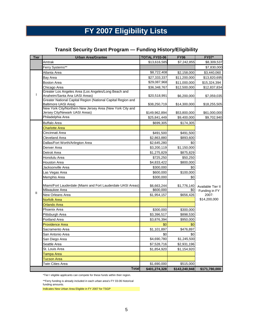## **FY 2007 Eligibility Lists**

### **Transit Security Grant Program — Funding History/Eligibility**

| <b>Tier</b>   | <b>Urban Area/Grantee</b>                                                                   | <b>TOTAL FY03-06</b> | <b>FY06</b>   | <b>FY07*</b>      |  |
|---------------|---------------------------------------------------------------------------------------------|----------------------|---------------|-------------------|--|
|               | Amtrak                                                                                      | \$13,616,585         | \$7,242,855   | \$8,309,537       |  |
|               | Ferry Systems**                                                                             |                      |               | \$7,830,000       |  |
|               | Atlanta Area                                                                                | \$8,722,408          | \$2,158,000   | \$3,440,060       |  |
|               | Bay Area                                                                                    | \$27,333,337         | \$11,200,000  | \$13,820,695      |  |
|               | <b>Boston Area</b>                                                                          | \$29,087,968         | \$11,000,000  | \$15,324,394      |  |
|               | Chicago Area                                                                                | \$36,348,767         | \$12,500,000  | \$12,837,834      |  |
|               | Greater Los Angeles Area (Los Angeles/Long Beach and<br>Anaheim/Santa Ana UASI Areas)       | \$20,518,991         | \$6,200,000   | \$7,059,035       |  |
|               | Greater National Capital Region (National Capital Region and<br>Baltimore UASI Area)        | \$38,250,719         | \$14,300,000  | \$18,255,505      |  |
|               | New York City/Northern New Jersey Area (New York City and<br>Jersey City/Newark UASI Areas) | \$149,962,894        | \$53,800,000  | \$61,000,000      |  |
|               | Philadelphia Area                                                                           | \$25,841,449         | \$9,400,000   | \$9,702,940       |  |
|               | <b>Buffalo Area</b>                                                                         | \$699,305            | \$174,305     |                   |  |
|               | <b>Charlotte Area</b>                                                                       |                      |               |                   |  |
|               | Cincinnati Area                                                                             | \$491,500            | \$491,500     |                   |  |
|               | Cleveland Area                                                                              | \$2,863,880          | \$893,600     |                   |  |
|               | Dallas/Fort Worth/Arlington Area                                                            | \$2,645,280          | \$0           |                   |  |
|               | Denver Area                                                                                 | \$3,200,119          | \$1,150,000   |                   |  |
|               | Detroit Area                                                                                | \$1,275,829          | \$875,829     |                   |  |
|               | Honolulu Area                                                                               | \$725,250            | \$50,250      |                   |  |
|               | Houston Area                                                                                | \$4,833,422          | \$800,000     |                   |  |
|               | Jacksonville Area                                                                           | \$300,000            | \$0           |                   |  |
|               | Las Vegas Area                                                                              | \$600,000            | \$100,000     |                   |  |
|               | Memphis Area                                                                                | \$300,000            | \$0           |                   |  |
|               | Miami/Fort Lauderdale (Miami and Fort Lauderdale UASI Areas)                                | \$6,663,244          | \$1,776,140   | Available Tier II |  |
| $\mathbf{II}$ | Milwaukee Area                                                                              | \$600,000            | \$0           | Funding in FY     |  |
|               | New Orleans Area                                                                            | \$1,954,157          | \$656,426     | 2007:             |  |
|               | <b>Norfolk Area</b>                                                                         |                      |               | \$14,200,000      |  |
|               | <b>Orlando Area</b>                                                                         |                      |               |                   |  |
|               | Phoenix Area                                                                                | \$300,000            | \$300,000     |                   |  |
|               | Pittsburgh Area                                                                             | \$3,396,517          | \$898,530     |                   |  |
|               | <b>Portland Area</b>                                                                        | \$3,876,394          | \$950,000     |                   |  |
|               | <b>Providence Area</b>                                                                      | \$0                  | \$0           |                   |  |
|               | Sacramento Area                                                                             | \$1,101,897          | \$476,897     |                   |  |
|               | San Antonio Area                                                                            | \$0                  | \$0           |                   |  |
|               | San Diego Area                                                                              | \$4,690,780          | \$1,245,500   |                   |  |
|               | Seattle Area                                                                                | \$7,528,716          | \$2,931,196   |                   |  |
|               | St. Louis Area                                                                              | \$1,854,920          | \$1,154,920   |                   |  |
|               | Tampa Area                                                                                  |                      |               |                   |  |
|               | Tucson Area                                                                                 |                      |               |                   |  |
|               | <b>Twin Cities Area</b>                                                                     | \$1,690,000          | \$515,000     |                   |  |
|               | <b>Total</b>                                                                                | \$401,274,328        | \$143,240,948 | \$171,780,000     |  |

\*Tier I eligible applicants can compete for these funds within their region.

\*\*Ferry funding is already included in each urban area's FY 03-06 historical

funding amounts.

Indicates New Urban Area Eligible in FY 2007 for TSGP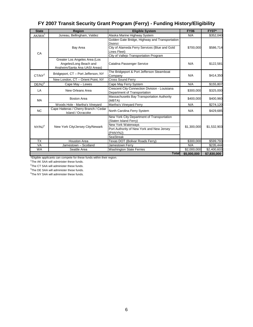| FY 2007 Transit Security Grant Program (Ferry) - Funding History/Eligibility |  |
|------------------------------------------------------------------------------|--|
|                                                                              |  |

| <b>State</b>       | <b>Region</b>                                                                            | <b>Eligible System</b>                                                                                                                                                        | <b>FY06</b> | <b>FY07*</b> |
|--------------------|------------------------------------------------------------------------------------------|-------------------------------------------------------------------------------------------------------------------------------------------------------------------------------|-------------|--------------|
| AK/WA <sup>1</sup> | Juneau, Bellingham, Valdez                                                               | Alaska Marine Highway System                                                                                                                                                  | N/A         | \$352,040    |
| CA                 | Bay Area                                                                                 | Golden Gate Bridge, Highway and Transportation<br><b>District</b><br>City of Alameda Ferry Services (Blue and Gold<br>Lines Fleet)<br>City of Vallejo Transportation Program  | \$700,000   | \$586,714    |
|                    | Greater Los Angeles Area (Los<br>Angeles/Long Beach and<br>Anaheim/Santa Ana UASI Areas) | Catalina Passenger Service                                                                                                                                                    | N/A         | \$122,581    |
| $CT/NY^2$          | Bridgeport, CT - Port Jefferson, NY                                                      | The Bridgeport & Port Jefferson Steamboat<br>Company                                                                                                                          | N/A         | \$414,350    |
|                    | New London, CT - Orient Point, NY                                                        | <b>Cross Sound Ferry</b>                                                                                                                                                      |             |              |
| DE/NJ <sup>3</sup> | Cape May - Lewes                                                                         | Cape May Ferry System                                                                                                                                                         | N/A         | \$155,807    |
| LA                 | New Orleans Area                                                                         | Crescent City Connection Division - Louisiana<br>Department of Transportation                                                                                                 | \$300,000   | \$325,000    |
| <b>MA</b>          | <b>Boston Area</b>                                                                       | Massachusetts Bay Transportation Authority<br>(MBTA)                                                                                                                          | \$400,000   | \$400,960    |
|                    | Woods Hole - Martha's Vineyard                                                           | Martha's Vineyard Ferry                                                                                                                                                       | N/A         | \$274,120    |
| <b>NC</b>          | Cape Hatteras / Cherry Branch / Cedar<br>Island / Ocracoke                               | North Carolina Ferry System                                                                                                                                                   | N/A         | \$429,685    |
| NY/NJ <sup>4</sup> | New York City/Jersey City/Newark                                                         | New York City Department of Transportation<br>(Staten Island Ferry)<br><b>New York Waterways</b><br>Port Authority of New York and New Jersey<br>(PANYNJ)<br><b>SeaStreak</b> | \$1,300,000 | \$1,532,903  |
| <b>TX</b>          | <b>Houston Area</b>                                                                      | Texas DOT (Bolivar Roads Ferry)                                                                                                                                               | \$300,000   | \$599,793    |
| <b>VA</b>          | Jamestown - Scotland                                                                     | Jamestown Ferry                                                                                                                                                               | N/A         | \$235,444    |
| <b>WA</b>          | Seattle Area                                                                             | <b>Washington State Ferries</b>                                                                                                                                               | \$2,000,000 | \$2,400,603  |
|                    |                                                                                          | <b>Total</b>                                                                                                                                                                  | \$5,000,000 | \$7,830,000  |

\*Eligible applicants can compete for these funds within their region.

<sup>1</sup>The AK SAA will administer these funds.<br><sup>3</sup>The CT SAA will administer these funds.<br><sup>3</sup>The DE SAA will administer these funds.<br><sup>4</sup>The NY SAA will administer these funds.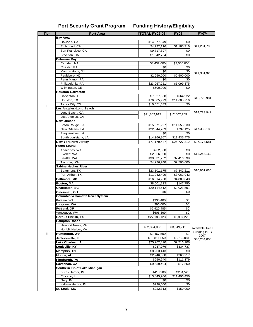| <b>Tier</b> | <b>Port Area</b>                                                | <b>TOTAL FY02-06</b>        | <b>FY06</b>           | <b>FY07*</b>      |  |  |
|-------------|-----------------------------------------------------------------|-----------------------------|-----------------------|-------------------|--|--|
|             | <b>Bay Area</b>                                                 |                             |                       |                   |  |  |
|             | Oakland, CA                                                     | \$14,377,349                | \$0                   |                   |  |  |
|             | Richmond, CA                                                    | \$4,792,116                 | \$1,185,716           | \$11,201,793      |  |  |
|             | San Francisco, CA                                               | \$9,717,897                 | \$0                   |                   |  |  |
|             | Stockton, CA                                                    | \$1,942,704                 | \$0                   |                   |  |  |
|             | Delaware Bay                                                    |                             |                       |                   |  |  |
|             | Camden, NJ                                                      | \$3,432,000                 | \$2,500,000           |                   |  |  |
|             | Chester, PA                                                     | \$0                         | \$0                   |                   |  |  |
|             | Marcus Hook, NJ                                                 | \$0                         | \$0                   |                   |  |  |
|             | Paulsboro, NJ                                                   | \$2,950,000                 | \$2,500,000           | \$11,331,328      |  |  |
|             | Penn Manor, PA                                                  | \$0                         | \$0                   |                   |  |  |
|             | Philadelphia, PA                                                | \$23,067,251                | \$5,099,375           |                   |  |  |
|             | Wilmington, DE                                                  | \$500,000                   | \$0                   |                   |  |  |
|             | <b>Houston-Galveston</b>                                        |                             |                       |                   |  |  |
|             | Galveston, TX                                                   | \$7,527,328                 | \$664,922             |                   |  |  |
|             | Houston, TX                                                     | \$76,005,929                | \$11,605,716          | \$15,720,981      |  |  |
|             | Texas City, TX                                                  | \$10,551,633                | \$0                   |                   |  |  |
| L           | Los Angeles-Long Beach                                          |                             |                       |                   |  |  |
|             | Long Beach, CA                                                  |                             |                       | \$14,723,942      |  |  |
|             | Los Angeles, CA                                                 | \$91,802,917                | \$12,002,769          |                   |  |  |
|             | <b>New Orleans</b>                                              |                             |                       |                   |  |  |
|             | Baton Rouge, LA                                                 | \$15,871,297                | \$11,555,230          |                   |  |  |
|             | New Orleans, LA                                                 | \$22,644,709                | $\overline{$737,125}$ | \$17,330,180      |  |  |
|             | Plaquemines, LA                                                 | \$0                         | \$0                   |                   |  |  |
|             | South Louisiana, LA                                             | \$14,366,967                | \$11,435,475          |                   |  |  |
|             | <b>New York/New Jersey</b>                                      |                             |                       | \$27,178,581      |  |  |
|             |                                                                 | \$77,179,447                | \$25,727,312          |                   |  |  |
|             | <b>Puget Sound</b><br>Anacortes, WA                             | \$262,000                   |                       |                   |  |  |
|             |                                                                 |                             | \$0<br>\$0            | \$12,254,160      |  |  |
|             | Everett, WA<br>Seattle, WA                                      | \$2,966,000<br>\$39,831,762 | \$7,416,539           |                   |  |  |
|             |                                                                 |                             |                       |                   |  |  |
|             | \$4,226,748<br>\$2,500,000<br>Tacoma, WA<br>Sabine-Neches River |                             |                       |                   |  |  |
|             |                                                                 |                             |                       | \$10,961,035      |  |  |
|             | Beaumont, TX                                                    | \$23,101,175                | \$7,842,211           |                   |  |  |
|             | Port Arthur, TX                                                 | \$11,942,499                | \$3,062,942           |                   |  |  |
|             | <b>Baltimore, MD</b>                                            | \$16,614,208                | \$4,809,848           |                   |  |  |
|             | Boston, MA                                                      | \$8,501,223                 | \$147,750             |                   |  |  |
|             | Charleston, SC                                                  | \$29,114,612                | \$9,021,591           |                   |  |  |
|             | Cincinnati, OH                                                  | \$0                         | \$0                   |                   |  |  |
|             | <b>Columbia-Willamette River System</b>                         |                             |                       |                   |  |  |
|             | Kalama, WA                                                      | \$935,400                   | \$0                   |                   |  |  |
|             | Longview, WA                                                    | \$96,000                    | \$0                   |                   |  |  |
|             | Portland, OR                                                    | \$5,920,485                 | \$0                   |                   |  |  |
|             | Vancouver, WA                                                   | \$606,369                   | \$0                   |                   |  |  |
|             | Corpus Christi, TX                                              | \$27,186,123                | \$8,807,225           |                   |  |  |
|             | <b>Hampton Roads</b>                                            |                             |                       |                   |  |  |
|             | Newport News, VA                                                | \$22,324,063                | \$3,549,712           | Available Tier II |  |  |
|             | Norfolk Harbor, VA                                              |                             |                       | Funding in FY     |  |  |
| Ш           | Huntington, WV                                                  | \$2,467,500                 | \$0                   | 2007:             |  |  |
|             | Jacksonville, FL                                                | \$10,811,550                | \$3,739,084           | \$40,234,000      |  |  |
|             | Lake Charles, LA                                                | \$25,962,320                | \$2,716,908           |                   |  |  |
|             | Louisville, KY                                                  | \$937,076                   | \$334,737             |                   |  |  |
|             | <b>Memphis, TN</b>                                              | \$8,203,413                 | \$0                   |                   |  |  |
|             | Mobile, AL                                                      | \$2,946,538                 | \$260,217             |                   |  |  |
|             | Pittsburgh, PA                                                  | \$650,940                   | \$111,379             |                   |  |  |
|             | Savannah, GA                                                    | \$9,559,404                 | \$17,550              |                   |  |  |
|             | Southern Tip of Lake Michigan                                   |                             |                       |                   |  |  |
|             | Burns Harbor, IN                                                | \$418,286                   | \$284,526             |                   |  |  |
|             | Chicago, IL                                                     | \$13,445,906                | \$11,496,456          |                   |  |  |
|             | Gary, IN                                                        | \$0                         | \$0                   |                   |  |  |
|             | Indiana Harbor, IN                                              | \$220,000                   | \$0                   |                   |  |  |
|             | St. Louis, MO                                                   | \$222,313                   | \$150,000             |                   |  |  |
|             |                                                                 |                             |                       |                   |  |  |

## **Port Security Grant Program — Funding History/Eligibility**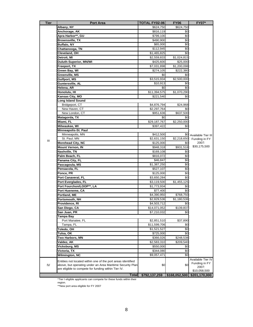| <b>Tier</b> | <b>Port Area</b>                                                                                                          | <b>TOTAL FY02-06</b> | <b>FY06</b>   | <b>FY07*</b>       |
|-------------|---------------------------------------------------------------------------------------------------------------------------|----------------------|---------------|--------------------|
|             | Albany, NY                                                                                                                | \$624,750            | \$624,750     |                    |
|             | Anchorage, AK                                                                                                             | \$816,119            | \$0           |                    |
|             | Apra Harbor**, GU                                                                                                         | \$799,100            | \$0           |                    |
|             | <b>Brownsville, TX</b>                                                                                                    | \$490,900            | \$0           |                    |
|             | <b>Buffalo, NY</b>                                                                                                        | \$65,000             | \$0           |                    |
|             | Chattanooga, TN                                                                                                           | \$112,945            | \$0           |                    |
|             | Cleveland, OH                                                                                                             | \$1,465,825          | \$0           |                    |
|             | Detroit, MI                                                                                                               | \$2,559,833          | \$1,024,815   |                    |
|             | <b>Duluth-Superior, MN/WI</b>                                                                                             | \$425,600            | \$25,000      |                    |
|             | Freeport, TX                                                                                                              | \$7,031,898          | \$1,200,098   |                    |
|             | Green Bay, WI                                                                                                             | \$274,105            | \$222,380     |                    |
|             | Greenville, MS                                                                                                            | \$0                  | \$0           |                    |
|             | Gulfport, MS                                                                                                              | \$3,515,934          | \$2,500,000   |                    |
|             | Guntersville, AL                                                                                                          | \$10,913             | \$0           |                    |
|             | Helena, AR                                                                                                                | \$0                  | \$0           |                    |
|             | Honolulu, HI                                                                                                              | \$11,394,575         | \$1,070,290   |                    |
|             | Kansas City, MO                                                                                                           | \$221,540            | \$0           |                    |
|             | <b>Long Island Sound</b>                                                                                                  |                      |               |                    |
|             | Bridgeport, CT                                                                                                            | \$4,876,794          | \$24,968      |                    |
|             | New Haven, CT                                                                                                             | \$2,297,764          | \$0           |                    |
|             | New London, CT                                                                                                            | \$951,636            | \$637,500     |                    |
|             | Matagorda, TX                                                                                                             | \$0                  | \$0           |                    |
|             | Miami, FL                                                                                                                 | \$29,187,767         | \$2,250,000   |                    |
|             | Milwaukee, WI                                                                                                             | \$397,422            | \$0           |                    |
|             | Minneapolis-St. Paul                                                                                                      |                      |               |                    |
|             | Minneapolis, MN                                                                                                           | \$412,500            | \$0           | Available Tier III |
| Ш           | St. Paul, MN                                                                                                              | \$2,631,150          | \$2,218,650   | Funding in FY      |
|             | <b>Morehead City, NC</b>                                                                                                  | \$125,000            | \$0           | 2007:              |
|             | Mount Vernon, IN                                                                                                          | \$948,318            | \$931,518     | \$30,175,500       |
|             | Nashville, TN                                                                                                             | \$169,108            | \$0           |                    |
|             | Palm Beach, FL                                                                                                            | \$816,072            | \$0           |                    |
|             | Panama City, FL                                                                                                           | \$46,847             | \$0           |                    |
|             | Pascagoula, MS                                                                                                            | \$1,387,250          | \$0           |                    |
|             | Pensacola, FL                                                                                                             | \$527,107            | \$0           |                    |
|             | Ponce, PR                                                                                                                 | \$125,000            | \$0           |                    |
|             | Port Canaveral, FL                                                                                                        | \$3,650,284          | \$0           |                    |
|             | Port Everglades, FL                                                                                                       | \$3,119,500          | \$1,455,125   |                    |
|             | Port Fourchon/LOOP**, LA                                                                                                  | \$1,773,934          | \$0           |                    |
|             | Port Hueneme, CA                                                                                                          | \$77,400             | \$0           |                    |
|             | Portland, ME                                                                                                              | \$4,390,950          | \$768,750     |                    |
|             | Portsmouth, NH                                                                                                            | \$2,829,536          | \$1,180,536   |                    |
|             | Providence, RI                                                                                                            | \$4,503,712          | \$0           |                    |
|             | San Diego, CA                                                                                                             | \$14,071,052         | \$139,837     |                    |
|             | San Juan, PR                                                                                                              | \$7,210,032          | \$0           |                    |
|             | Tampa Bay                                                                                                                 |                      |               |                    |
|             | Port Manatee, FL                                                                                                          | \$2,851,510          | \$37,890      |                    |
|             | Tampa, FL                                                                                                                 | \$11,599,706         | \$0           |                    |
|             | Toledo, OH                                                                                                                | \$1,521,527          | \$0           |                    |
|             | Tulsa, OK                                                                                                                 | \$725,000            | \$0           |                    |
|             | Two Harbors, MN                                                                                                           | \$366,026            | \$248,538     |                    |
|             | Valdez, AK                                                                                                                | \$2,583,310          | \$209,540     |                    |
|             | Vicksburg, MS                                                                                                             | \$550,000            | \$0           |                    |
|             | Victoria, TX                                                                                                              | \$344,080            | \$0           |                    |
|             | Wilmington, NC                                                                                                            | \$9,057,471          | \$0           |                    |
|             |                                                                                                                           |                      |               | Available Tier IV  |
| IV          | Entities not located within one of the port areas identified<br>above, but operating under an Area Maritime Security Plan | \$0                  | \$0           | Funding in FY      |
|             | are eligible to compete for funding within Tier IV.                                                                       |                      |               | 2007:              |
|             |                                                                                                                           |                      |               | \$10,058,500       |
|             | <b>Total</b>                                                                                                              | \$792,137,259        | \$168,052,500 | \$201,170,000      |

\*Tier I eligible applicants can compete for these funds within their

region.

\*\*New port area eligible for FY 2007